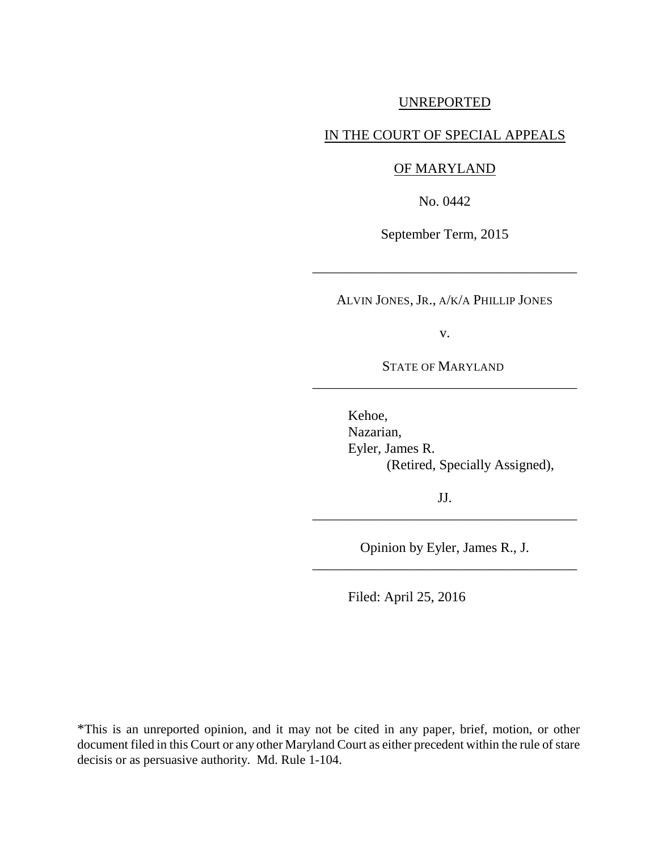## UNREPORTED

## IN THE COURT OF SPECIAL APPEALS

## OF MARYLAND

No. 0442

September Term, 2015

\_\_\_\_\_\_\_\_\_\_\_\_\_\_\_\_\_\_\_\_\_\_\_\_\_\_\_\_\_\_\_\_\_\_\_\_\_\_

ALVIN JONES, JR., A/K/A PHILLIP JONES

v.

STATE OF MARYLAND \_\_\_\_\_\_\_\_\_\_\_\_\_\_\_\_\_\_\_\_\_\_\_\_\_\_\_\_\_\_\_\_\_\_\_\_\_\_

> Kehoe, Nazarian, Eyler, James R. (Retired, Specially Assigned),

JJ. \_\_\_\_\_\_\_\_\_\_\_\_\_\_\_\_\_\_\_\_\_\_\_\_\_\_\_\_\_\_\_\_\_\_\_\_\_\_

Opinion by Eyler, James R., J. \_\_\_\_\_\_\_\_\_\_\_\_\_\_\_\_\_\_\_\_\_\_\_\_\_\_\_\_\_\_\_\_\_\_\_\_\_\_

Filed: April 25, 2016

\*This is an unreported opinion, and it may not be cited in any paper, brief, motion, or other document filed in this Court or any other Maryland Court as either precedent within the rule of stare decisis or as persuasive authority. Md. Rule 1-104.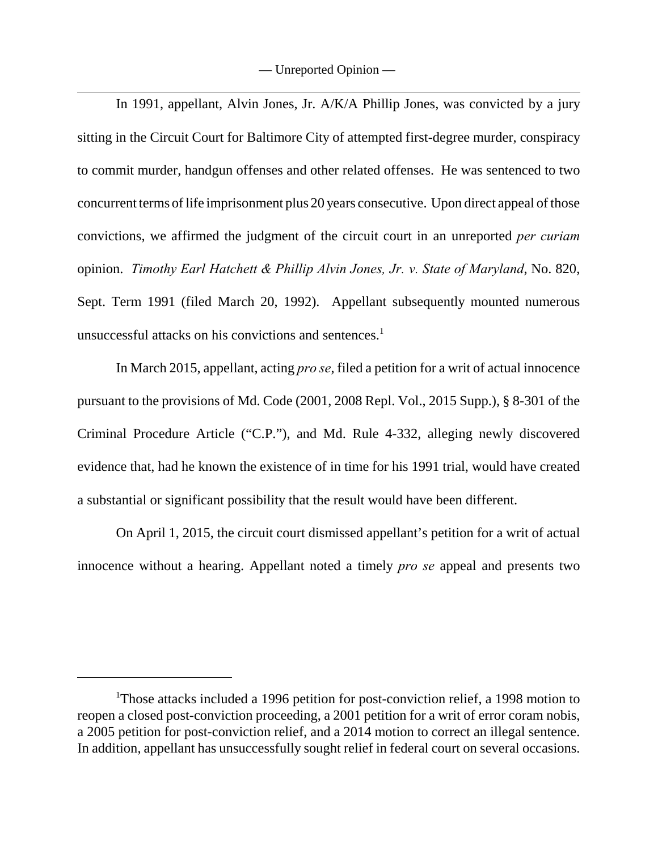In 1991, appellant, Alvin Jones, Jr. A/K/A Phillip Jones, was convicted by a jury sitting in the Circuit Court for Baltimore City of attempted first-degree murder, conspiracy to commit murder, handgun offenses and other related offenses. He was sentenced to two concurrent terms of life imprisonment plus 20 years consecutive. Upon direct appeal of those convictions, we affirmed the judgment of the circuit court in an unreported *per curiam* opinion. *Timothy Earl Hatchett & Phillip Alvin Jones, Jr. v. State of Maryland*, No. 820, Sept. Term 1991 (filed March 20, 1992). Appellant subsequently mounted numerous unsuccessful attacks on his convictions and sentences.<sup>1</sup>

In March 2015, appellant, acting *pro se*, filed a petition for a writ of actual innocence pursuant to the provisions of Md. Code (2001, 2008 Repl. Vol., 2015 Supp.), § 8-301 of the Criminal Procedure Article ("C.P."), and Md. Rule 4-332, alleging newly discovered evidence that, had he known the existence of in time for his 1991 trial, would have created a substantial or significant possibility that the result would have been different.

On April 1, 2015, the circuit court dismissed appellant's petition for a writ of actual innocence without a hearing. Appellant noted a timely *pro se* appeal and presents two

<sup>&</sup>lt;sup>1</sup>Those attacks included a 1996 petition for post-conviction relief, a 1998 motion to reopen a closed post-conviction proceeding, a 2001 petition for a writ of error coram nobis, a 2005 petition for post-conviction relief, and a 2014 motion to correct an illegal sentence. In addition, appellant has unsuccessfully sought relief in federal court on several occasions.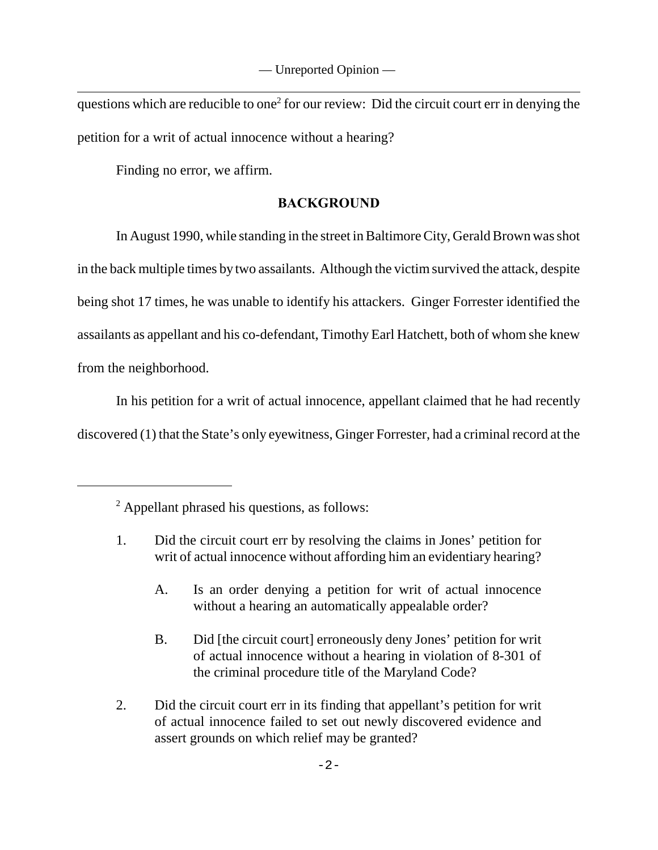— Unreported Opinion —

questions which are reducible to one<sup>2</sup> for our review: Did the circuit court err in denying the petition for a writ of actual innocence without a hearing?

Finding no error, we affirm.

## **BACKGROUND**

In August 1990, while standing in the street in Baltimore City, Gerald Brown was shot in the back multiple times by two assailants. Although the victim survived the attack, despite being shot 17 times, he was unable to identify his attackers. Ginger Forrester identified the assailants as appellant and his co-defendant, Timothy Earl Hatchett, both of whom she knew from the neighborhood.

In his petition for a writ of actual innocence, appellant claimed that he had recently discovered (1) that the State's only eyewitness, Ginger Forrester, had a criminal record at the

- 1. Did the circuit court err by resolving the claims in Jones' petition for writ of actual innocence without affording him an evidentiary hearing?
	- A. Is an order denying a petition for writ of actual innocence without a hearing an automatically appealable order?
	- B. Did [the circuit court] erroneously deny Jones' petition for writ of actual innocence without a hearing in violation of 8-301 of the criminal procedure title of the Maryland Code?
- 2. Did the circuit court err in its finding that appellant's petition for writ of actual innocence failed to set out newly discovered evidence and assert grounds on which relief may be granted?

<sup>&</sup>lt;sup>2</sup> Appellant phrased his questions, as follows: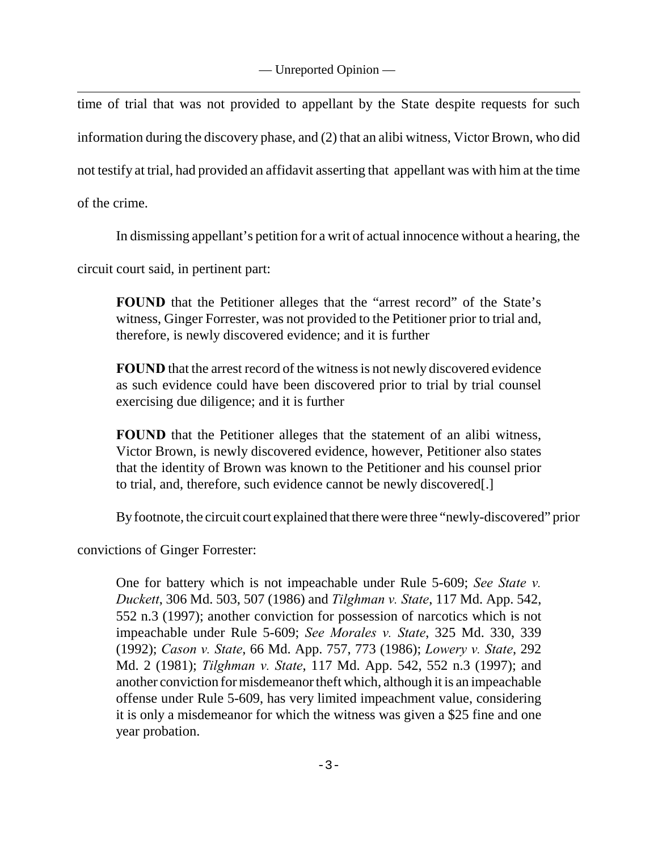time of trial that was not provided to appellant by the State despite requests for such information during the discovery phase, and (2) that an alibi witness, Victor Brown, who did not testify at trial, had provided an affidavit asserting that appellant was with him at the time of the crime.

In dismissing appellant's petition for a writ of actual innocence without a hearing, the

circuit court said, in pertinent part:

**FOUND** that the Petitioner alleges that the "arrest record" of the State's witness, Ginger Forrester, was not provided to the Petitioner prior to trial and, therefore, is newly discovered evidence; and it is further

**FOUND** that the arrest record of the witness is not newly discovered evidence as such evidence could have been discovered prior to trial by trial counsel exercising due diligence; and it is further

**FOUND** that the Petitioner alleges that the statement of an alibi witness, Victor Brown, is newly discovered evidence, however, Petitioner also states that the identity of Brown was known to the Petitioner and his counsel prior to trial, and, therefore, such evidence cannot be newly discovered[.]

By footnote, the circuit court explained that there were three "newly-discovered" prior

convictions of Ginger Forrester:

One for battery which is not impeachable under Rule 5-609; *See State v. Duckett*, 306 Md. 503, 507 (1986) and *Tilghman v. State*, 117 Md. App. 542, 552 n.3 (1997); another conviction for possession of narcotics which is not impeachable under Rule 5-609; *See Morales v. State*, 325 Md. 330, 339 (1992); *Cason v. State*, 66 Md. App. 757, 773 (1986); *Lowery v. State*, 292 Md. 2 (1981); *Tilghman v. State*, 117 Md. App. 542, 552 n.3 (1997); and another conviction for misdemeanor theft which, although it is an impeachable offense under Rule 5-609, has very limited impeachment value, considering it is only a misdemeanor for which the witness was given a \$25 fine and one year probation.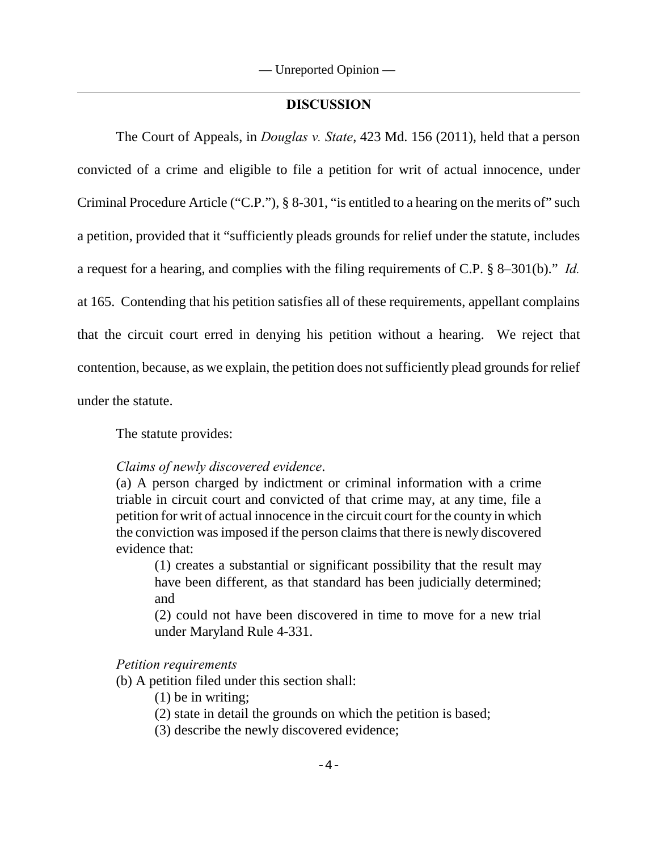### **DISCUSSION**

The Court of Appeals, in *Douglas v. State*, 423 Md. 156 (2011), held that a person convicted of a crime and eligible to file a petition for writ of actual innocence, under Criminal Procedure Article ("C.P."), § 8-301, "is entitled to a hearing on the merits of" such a petition, provided that it "sufficiently pleads grounds for relief under the statute, includes a request for a hearing, and complies with the filing requirements of C.P. § 8–301(b)." *Id.* at 165. Contending that his petition satisfies all of these requirements, appellant complains that the circuit court erred in denying his petition without a hearing. We reject that contention, because, as we explain, the petition does not sufficiently plead grounds for relief under the statute.

The statute provides:

### *Claims of newly discovered evidence*.

(a) A person charged by indictment or criminal information with a crime triable in circuit court and convicted of that crime may, at any time, file a petition for writ of actual innocence in the circuit court for the county in which the conviction was imposed if the person claims that there is newly discovered evidence that:

(1) creates a substantial or significant possibility that the result may have been different, as that standard has been judicially determined; and

(2) could not have been discovered in time to move for a new trial under Maryland Rule 4-331.

#### *Petition requirements*

(b) A petition filed under this section shall:

- (1) be in writing;
- (2) state in detail the grounds on which the petition is based;
- (3) describe the newly discovered evidence;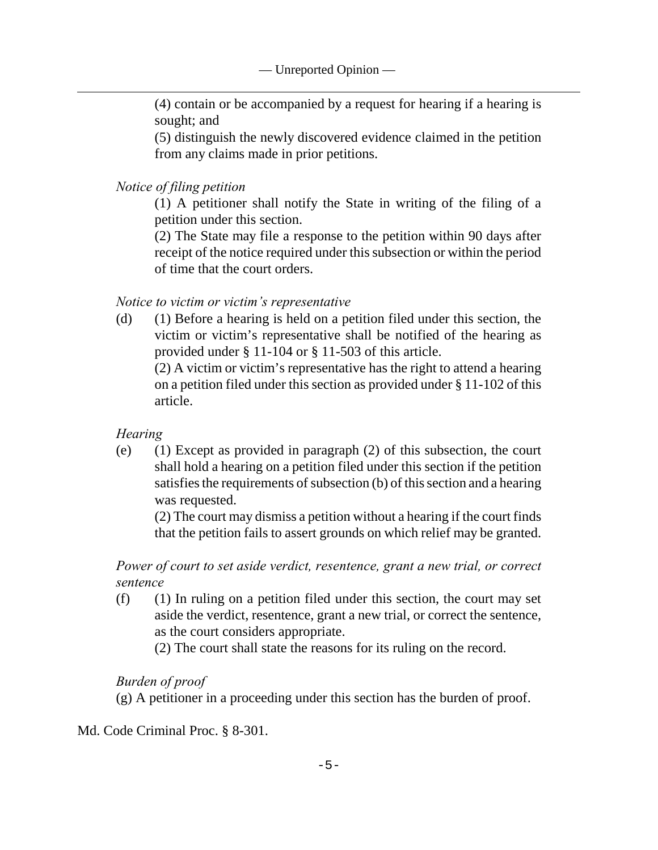(4) contain or be accompanied by a request for hearing if a hearing is sought; and

(5) distinguish the newly discovered evidence claimed in the petition from any claims made in prior petitions.

*Notice of filing petition*

(1) A petitioner shall notify the State in writing of the filing of a petition under this section.

(2) The State may file a response to the petition within 90 days after receipt of the notice required under this subsection or within the period of time that the court orders.

*Notice to victim or victim's representative*

(d) (1) Before a hearing is held on a petition filed under this section, the victim or victim's representative shall be notified of the hearing as provided under § 11-104 or § 11-503 of this article.

(2) A victim or victim's representative has the right to attend a hearing on a petition filed under this section as provided under § 11-102 of this article.

*Hearing*

(e) (1) Except as provided in paragraph (2) of this subsection, the court shall hold a hearing on a petition filed under this section if the petition satisfies the requirements of subsection (b) of this section and a hearing was requested.

(2) The court may dismiss a petition without a hearing if the court finds that the petition fails to assert grounds on which relief may be granted.

*Power of court to set aside verdict, resentence, grant a new trial, or correct sentence*

(f) (1) In ruling on a petition filed under this section, the court may set aside the verdict, resentence, grant a new trial, or correct the sentence, as the court considers appropriate.

(2) The court shall state the reasons for its ruling on the record.

# *Burden of proof*

(g) A petitioner in a proceeding under this section has the burden of proof.

Md. Code Criminal Proc. § 8-301.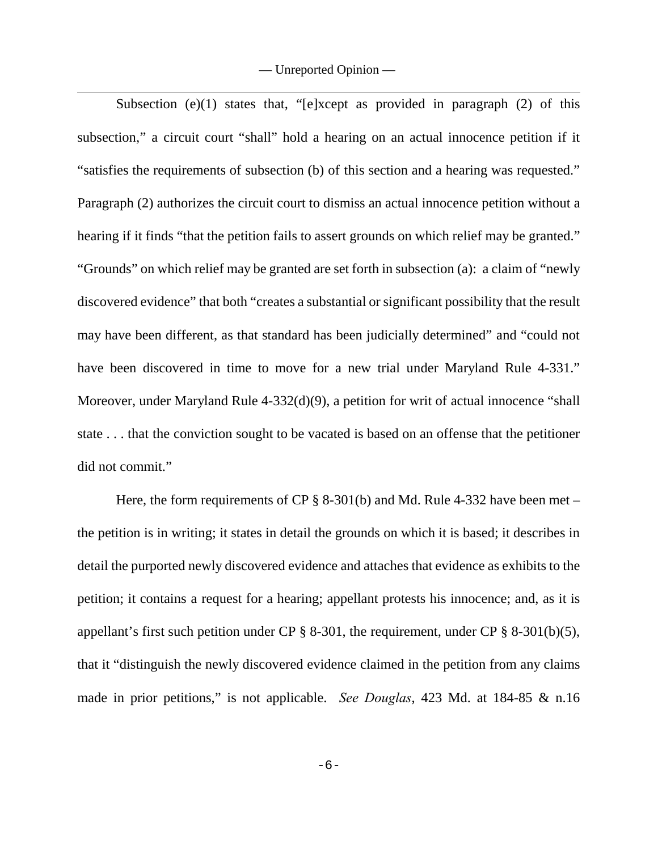— Unreported Opinion —

Subsection (e)(1) states that, "[e]xcept as provided in paragraph  $(2)$  of this subsection," a circuit court "shall" hold a hearing on an actual innocence petition if it "satisfies the requirements of subsection (b) of this section and a hearing was requested." Paragraph (2) authorizes the circuit court to dismiss an actual innocence petition without a hearing if it finds "that the petition fails to assert grounds on which relief may be granted." "Grounds" on which relief may be granted are set forth in subsection (a): a claim of "newly discovered evidence" that both "creates a substantial or significant possibility that the result may have been different, as that standard has been judicially determined" and "could not have been discovered in time to move for a new trial under Maryland Rule 4-331." Moreover, under Maryland Rule 4-332(d)(9), a petition for writ of actual innocence "shall state . . . that the conviction sought to be vacated is based on an offense that the petitioner did not commit."

Here, the form requirements of CP § 8-301(b) and Md. Rule 4-332 have been met – the petition is in writing; it states in detail the grounds on which it is based; it describes in detail the purported newly discovered evidence and attaches that evidence as exhibits to the petition; it contains a request for a hearing; appellant protests his innocence; and, as it is appellant's first such petition under CP  $\S$  8-301, the requirement, under CP  $\S$  8-301(b)(5), that it "distinguish the newly discovered evidence claimed in the petition from any claims made in prior petitions," is not applicable. *See Douglas*, 423 Md. at 184-85 & n.16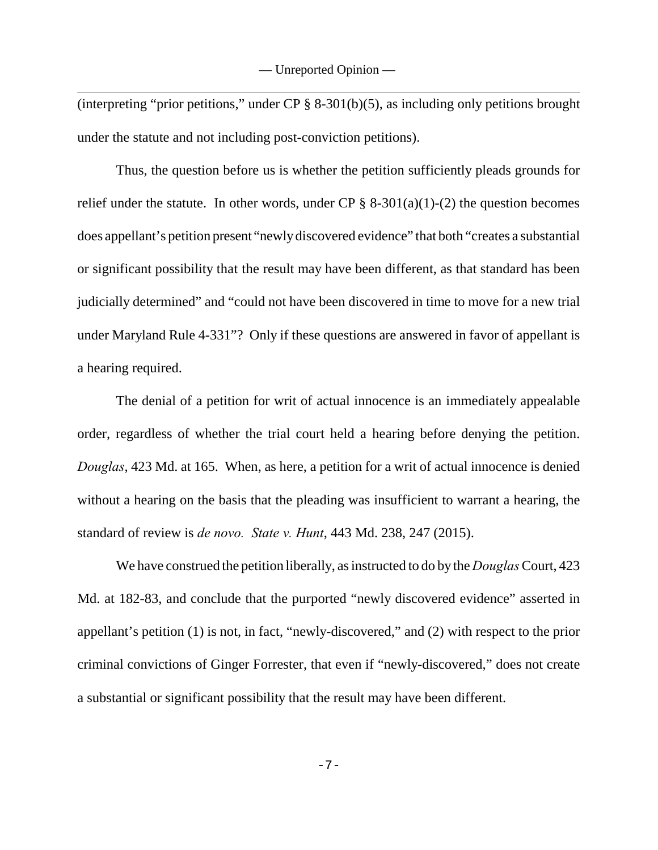(interpreting "prior petitions," under CP § 8-301(b)(5), as including only petitions brought under the statute and not including post-conviction petitions).

Thus, the question before us is whether the petition sufficiently pleads grounds for relief under the statute. In other words, under CP  $\S$  8-301(a)(1)-(2) the question becomes does appellant's petition present "newly discovered evidence" that both "creates a substantial or significant possibility that the result may have been different, as that standard has been judicially determined" and "could not have been discovered in time to move for a new trial under Maryland Rule 4-331"? Only if these questions are answered in favor of appellant is a hearing required.

The denial of a petition for writ of actual innocence is an immediately appealable order, regardless of whether the trial court held a hearing before denying the petition. *Douglas*, 423 Md. at 165. When, as here, a petition for a writ of actual innocence is denied without a hearing on the basis that the pleading was insufficient to warrant a hearing, the standard of review is *de novo. State v. Hunt*, 443 Md. 238, 247 (2015).

We have construed the petition liberally, as instructed to do by the *Douglas* Court, 423 Md. at 182-83, and conclude that the purported "newly discovered evidence" asserted in appellant's petition (1) is not, in fact, "newly-discovered," and (2) with respect to the prior criminal convictions of Ginger Forrester, that even if "newly-discovered," does not create a substantial or significant possibility that the result may have been different.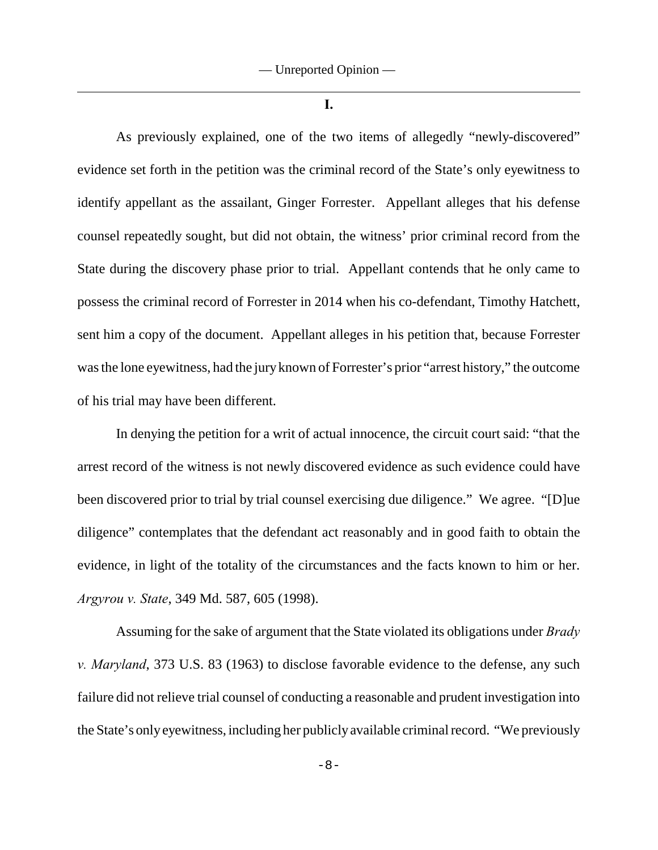**I.**

As previously explained, one of the two items of allegedly "newly-discovered" evidence set forth in the petition was the criminal record of the State's only eyewitness to identify appellant as the assailant, Ginger Forrester. Appellant alleges that his defense counsel repeatedly sought, but did not obtain, the witness' prior criminal record from the State during the discovery phase prior to trial. Appellant contends that he only came to possess the criminal record of Forrester in 2014 when his co-defendant, Timothy Hatchett, sent him a copy of the document. Appellant alleges in his petition that, because Forrester was the lone eyewitness, had the jury known of Forrester's prior "arrest history," the outcome of his trial may have been different.

In denying the petition for a writ of actual innocence, the circuit court said: "that the arrest record of the witness is not newly discovered evidence as such evidence could have been discovered prior to trial by trial counsel exercising due diligence." We agree. "[D]ue diligence" contemplates that the defendant act reasonably and in good faith to obtain the evidence, in light of the totality of the circumstances and the facts known to him or her. *Argyrou v. State*, 349 Md. 587, 605 (1998).

Assuming for the sake of argument that the State violated its obligations under *Brady v. Maryland*, 373 U.S. 83 (1963) to disclose favorable evidence to the defense, any such failure did not relieve trial counsel of conducting a reasonable and prudent investigation into the State's only eyewitness, including her publicly available criminal record. "We previously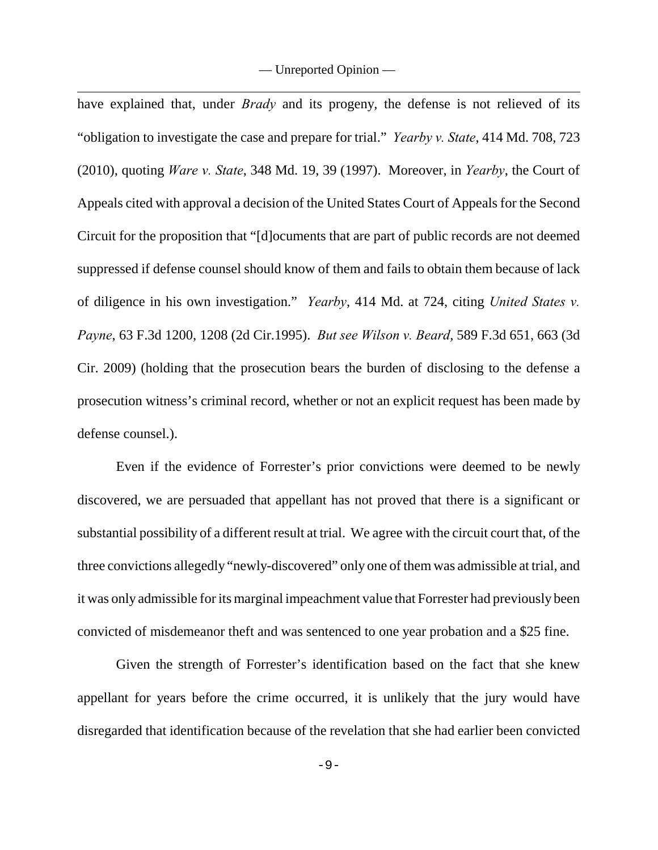— Unreported Opinion —

have explained that, under *Brady* and its progeny, the defense is not relieved of its "obligation to investigate the case and prepare for trial." *Yearby v. State*, 414 Md. 708, 723 (2010), quoting *Ware v. State*, 348 Md. 19, 39 (1997). Moreover, in *Yearby*, the Court of Appeals cited with approval a decision of the United States Court of Appeals for the Second Circuit for the proposition that "[d]ocuments that are part of public records are not deemed suppressed if defense counsel should know of them and fails to obtain them because of lack of diligence in his own investigation." *Yearby*, 414 Md. at 724, citing *United States v. Payne*, 63 F.3d 1200, 1208 (2d Cir.1995). *But see Wilson v. Beard*, 589 F.3d 651, 663 (3d Cir. 2009) (holding that the prosecution bears the burden of disclosing to the defense a prosecution witness's criminal record, whether or not an explicit request has been made by defense counsel.).

Even if the evidence of Forrester's prior convictions were deemed to be newly discovered, we are persuaded that appellant has not proved that there is a significant or substantial possibility of a different result at trial. We agree with the circuit court that, of the three convictions allegedly "newly-discovered" only one of them was admissible at trial, and it was only admissible for its marginal impeachment value that Forrester had previously been convicted of misdemeanor theft and was sentenced to one year probation and a \$25 fine.

Given the strength of Forrester's identification based on the fact that she knew appellant for years before the crime occurred, it is unlikely that the jury would have disregarded that identification because of the revelation that she had earlier been convicted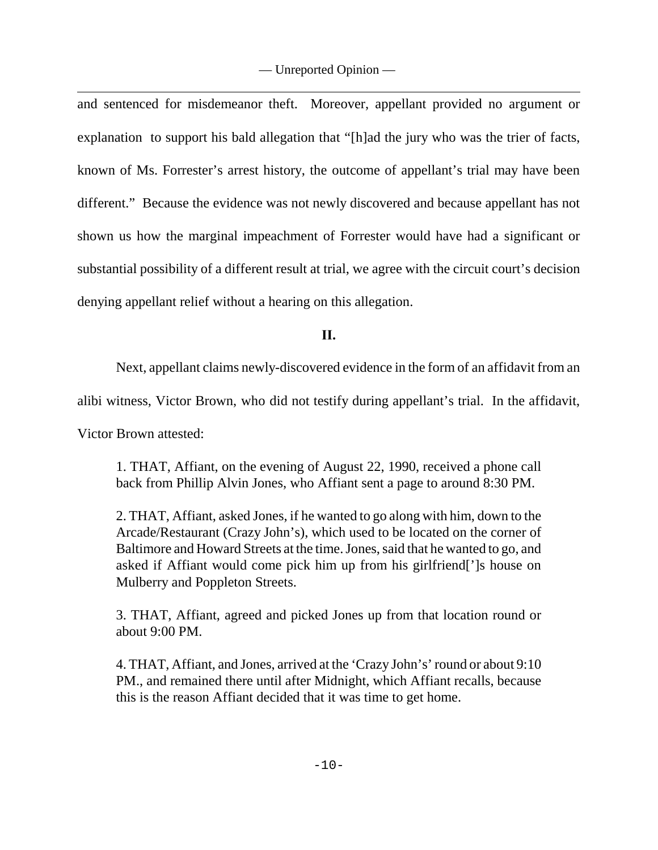and sentenced for misdemeanor theft. Moreover, appellant provided no argument or explanation to support his bald allegation that "[h]ad the jury who was the trier of facts, known of Ms. Forrester's arrest history, the outcome of appellant's trial may have been different." Because the evidence was not newly discovered and because appellant has not shown us how the marginal impeachment of Forrester would have had a significant or substantial possibility of a different result at trial, we agree with the circuit court's decision denying appellant relief without a hearing on this allegation.

**II.**

Next, appellant claims newly-discovered evidence in the form of an affidavit from an

alibi witness, Victor Brown, who did not testify during appellant's trial. In the affidavit,

Victor Brown attested:

1. THAT, Affiant, on the evening of August 22, 1990, received a phone call back from Phillip Alvin Jones, who Affiant sent a page to around 8:30 PM.

2. THAT, Affiant, asked Jones, if he wanted to go along with him, down to the Arcade/Restaurant (Crazy John's), which used to be located on the corner of Baltimore and Howard Streets at the time. Jones, said that he wanted to go, and asked if Affiant would come pick him up from his girlfriend[']s house on Mulberry and Poppleton Streets.

3. THAT, Affiant, agreed and picked Jones up from that location round or about 9:00 PM.

4. THAT, Affiant, and Jones, arrived at the 'Crazy John's' round or about 9:10 PM., and remained there until after Midnight, which Affiant recalls, because this is the reason Affiant decided that it was time to get home.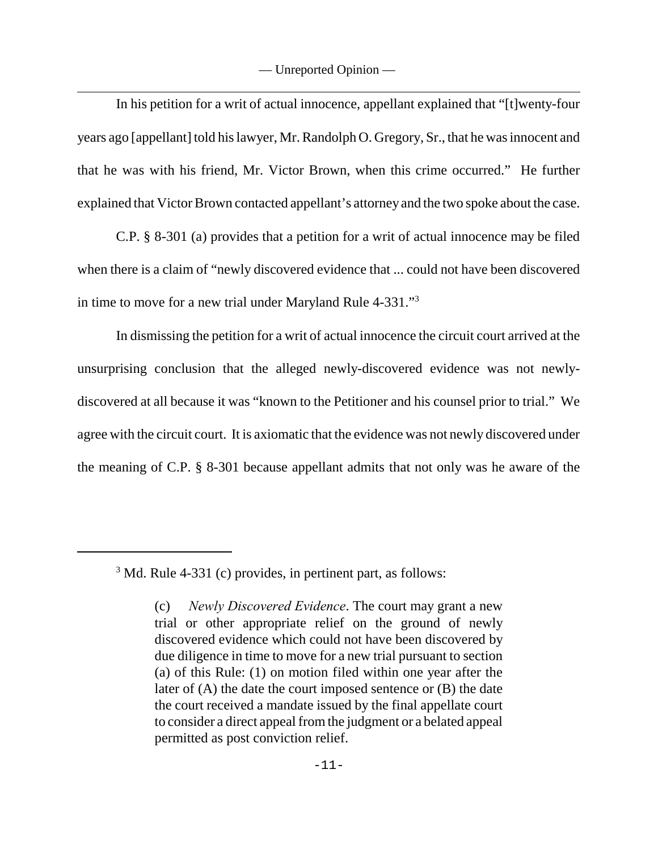In his petition for a writ of actual innocence, appellant explained that "[t]wenty-four years ago [appellant] told his lawyer, Mr. Randolph O. Gregory, Sr., that he was innocent and that he was with his friend, Mr. Victor Brown, when this crime occurred." He further explained that Victor Brown contacted appellant's attorney and the two spoke about the case.

C.P. § 8-301 (a) provides that a petition for a writ of actual innocence may be filed when there is a claim of "newly discovered evidence that ... could not have been discovered in time to move for a new trial under Maryland Rule 4-331."<sup>3</sup>

In dismissing the petition for a writ of actual innocence the circuit court arrived at the unsurprising conclusion that the alleged newly-discovered evidence was not newlydiscovered at all because it was "known to the Petitioner and his counsel prior to trial." We agree with the circuit court. It is axiomatic that the evidence was not newly discovered under the meaning of C.P. § 8-301 because appellant admits that not only was he aware of the

 $3$  Md. Rule 4-331 (c) provides, in pertinent part, as follows:

<sup>(</sup>c) *Newly Discovered Evidence*. The court may grant a new trial or other appropriate relief on the ground of newly discovered evidence which could not have been discovered by due diligence in time to move for a new trial pursuant to section (a) of this Rule: (1) on motion filed within one year after the later of (A) the date the court imposed sentence or (B) the date the court received a mandate issued by the final appellate court to consider a direct appeal from the judgment or a belated appeal permitted as post conviction relief.